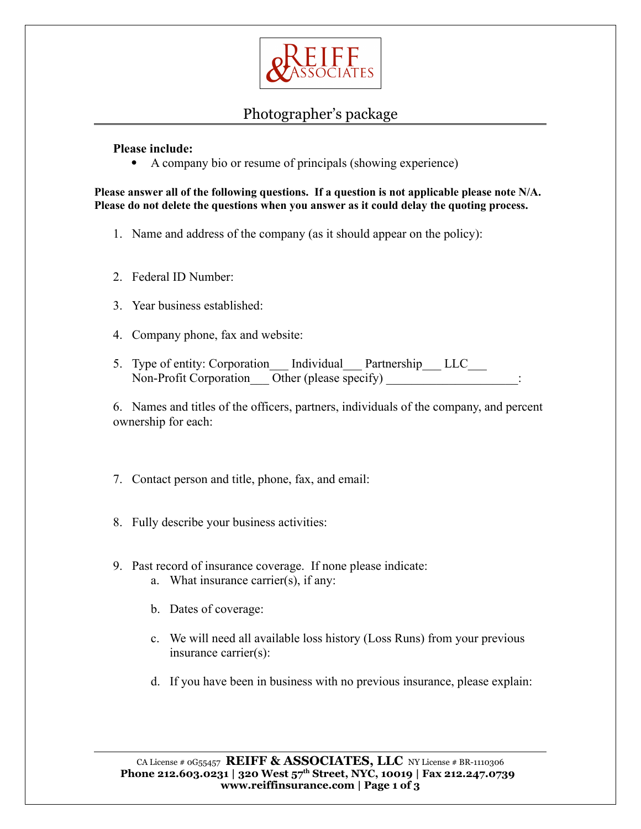

## Photographer's package

**Please include:**

A company bio or resume of principals (showing experience)

**Please answer all of the following questions. If a question is not applicable please note N/A. Please do not delete the questions when you answer as it could delay the quoting process.**

- 1. Name and address of the company (as it should appear on the policy):
- 2. Federal ID Number:
- 3. Year business established:
- 4. Company phone, fax and website:
- 5. Type of entity: Corporation\_\_\_ Individual\_\_\_ Partnership\_\_\_ LLC\_\_\_ Non-Profit Corporation Other (please specify)

6. Names and titles of the officers, partners, individuals of the company, and percent ownership for each:

- 7. Contact person and title, phone, fax, and email:
- 8. Fully describe your business activities:
- 9. Past record of insurance coverage. If none please indicate: a. What insurance carrier(s), if any:
	- b. Dates of coverage:
	- c. We will need all available loss history (Loss Runs) from your previous insurance carrier(s):
	- d. If you have been in business with no previous insurance, please explain: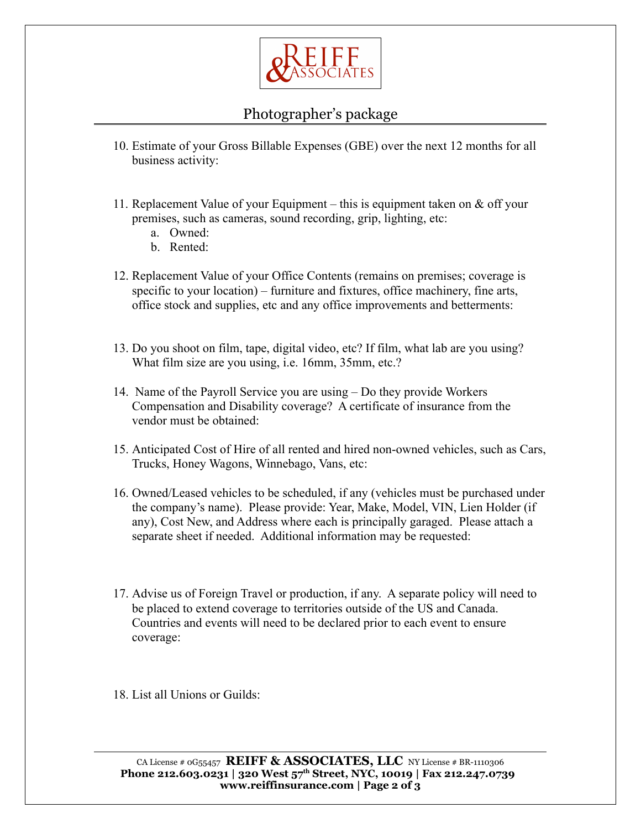

## Photographer's package

- 10. Estimate of your Gross Billable Expenses (GBE) over the next 12 months for all business activity:
- 11. Replacement Value of your Equipment this is equipment taken on  $\&$  off your premises, such as cameras, sound recording, grip, lighting, etc:
	- a. Owned:
	- b. Rented:
- 12. Replacement Value of your Office Contents (remains on premises; coverage is specific to your location) – furniture and fixtures, office machinery, fine arts, office stock and supplies, etc and any office improvements and betterments:
- 13. Do you shoot on film, tape, digital video, etc? If film, what lab are you using? What film size are you using, i.e. 16mm, 35mm, etc.?
- 14. Name of the Payroll Service you are using Do they provide Workers Compensation and Disability coverage? A certificate of insurance from the vendor must be obtained:
- 15. Anticipated Cost of Hire of all rented and hired non-owned vehicles, such as Cars, Trucks, Honey Wagons, Winnebago, Vans, etc:
- 16. Owned/Leased vehicles to be scheduled, if any (vehicles must be purchased under the company's name). Please provide: Year, Make, Model, VIN, Lien Holder (if any), Cost New, and Address where each is principally garaged. Please attach a separate sheet if needed. Additional information may be requested:
- 17. Advise us of Foreign Travel or production, if any. A separate policy will need to be placed to extend coverage to territories outside of the US and Canada. Countries and events will need to be declared prior to each event to ensure coverage:

18. List all Unions or Guilds: